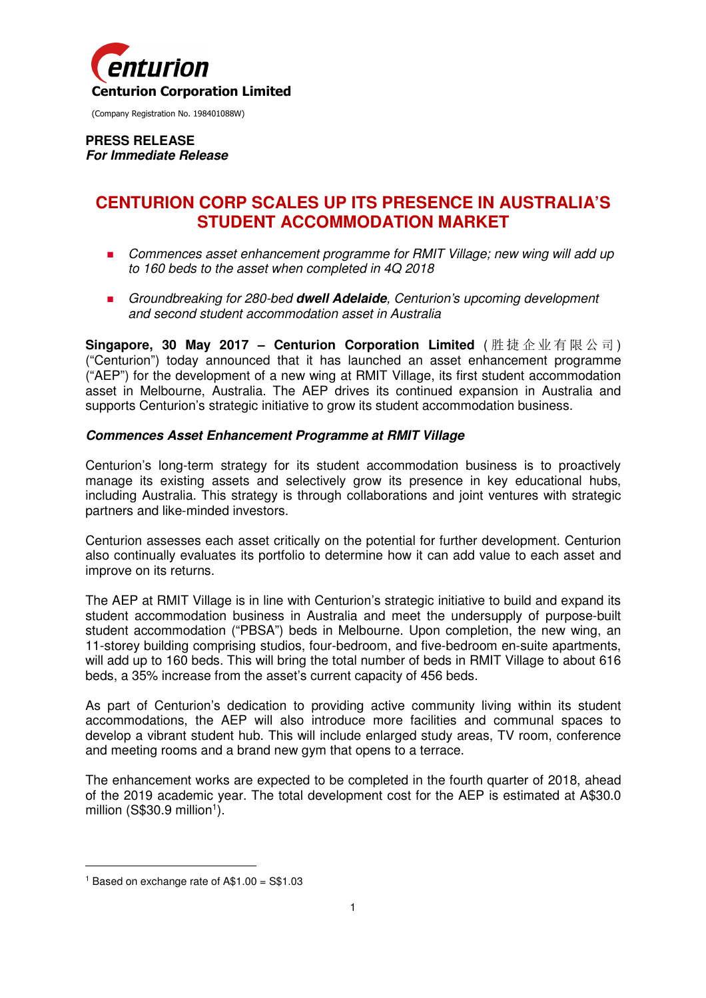

(Company Registration No. 198401088W)

**PRESS RELEASE For Immediate Release** 

# **CENTURION CORP SCALES UP ITS PRESENCE IN AUSTRALIA'S STUDENT ACCOMMODATION MARKET**

- **Commences asset enhancement programme for RMIT Village; new wing will add up** to 160 beds to the asset when completed in 4Q 2018
- Groundbreaking for 280-bed **dwell Adelaide**, Centurion's upcoming development and second student accommodation asset in Australia

**Singapore, 30 May 2017 - Centurion Corporation Limited** (胜捷企业有限公司) ("Centurion") today announced that it has launched an asset enhancement programme ("AEP") for the development of a new wing at RMIT Village, its first student accommodation asset in Melbourne, Australia. The AEP drives its continued expansion in Australia and supports Centurion's strategic initiative to grow its student accommodation business.

## **Commences Asset Enhancement Programme at RMIT Village**

Centurion's long-term strategy for its student accommodation business is to proactively manage its existing assets and selectively grow its presence in key educational hubs, including Australia. This strategy is through collaborations and joint ventures with strategic partners and like-minded investors.

Centurion assesses each asset critically on the potential for further development. Centurion also continually evaluates its portfolio to determine how it can add value to each asset and improve on its returns.

The AEP at RMIT Village is in line with Centurion's strategic initiative to build and expand its student accommodation business in Australia and meet the undersupply of purpose-built student accommodation ("PBSA") beds in Melbourne. Upon completion, the new wing, an 11-storey building comprising studios, four-bedroom, and five-bedroom en-suite apartments, will add up to 160 beds. This will bring the total number of beds in RMIT Village to about 616 beds, a 35% increase from the asset's current capacity of 456 beds.

As part of Centurion's dedication to providing active community living within its student accommodations, the AEP will also introduce more facilities and communal spaces to develop a vibrant student hub. This will include enlarged study areas, TV room, conference and meeting rooms and a brand new gym that opens to a terrace.

The enhancement works are expected to be completed in the fourth quarter of 2018, ahead of the 2019 academic year. The total development cost for the AEP is estimated at A\$30.0 million (S\$30.9 million<sup>1</sup>).

 $\overline{a}$ 

<sup>1</sup> Based on exchange rate of A\$1.00 = S\$1.03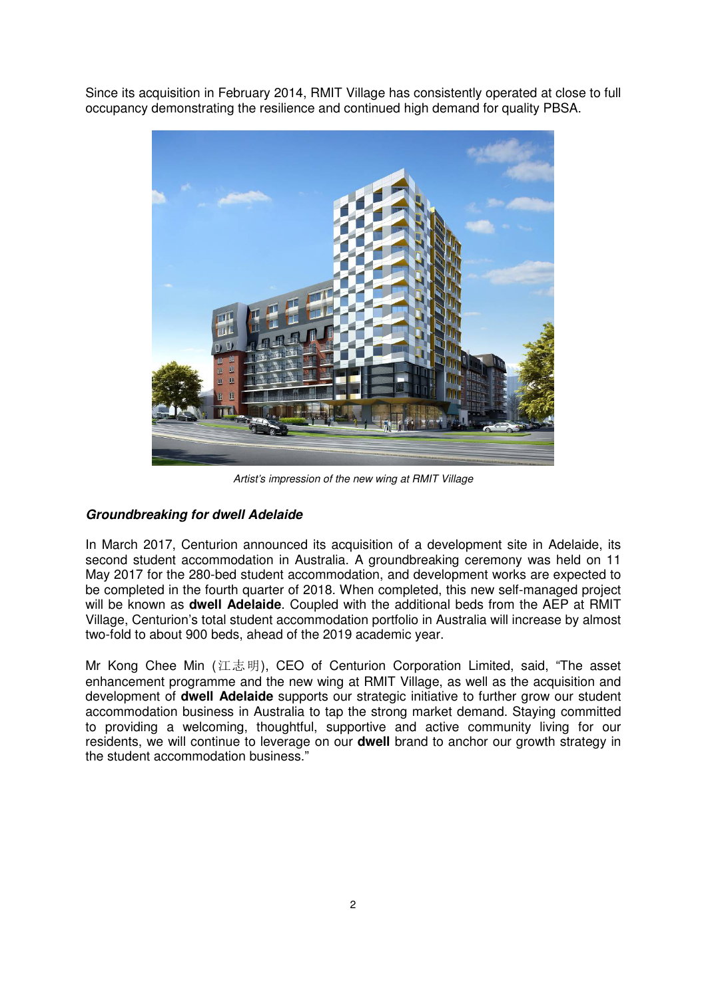Since its acquisition in February 2014, RMIT Village has consistently operated at close to full occupancy demonstrating the resilience and continued high demand for quality PBSA.



Artist's impression of the new wing at RMIT Village

## **Groundbreaking for dwell Adelaide**

In March 2017, Centurion announced its acquisition of a development site in Adelaide, its second student accommodation in Australia. A groundbreaking ceremony was held on 11 May 2017 for the 280-bed student accommodation, and development works are expected to be completed in the fourth quarter of 2018. When completed, this new self-managed project will be known as **dwell Adelaide**. Coupled with the additional beds from the AEP at RMIT Village, Centurion's total student accommodation portfolio in Australia will increase by almost two-fold to about 900 beds, ahead of the 2019 academic year.

Mr Kong Chee Min (江志明), CEO of Centurion Corporation Limited, said, "The asset enhancement programme and the new wing at RMIT Village, as well as the acquisition and development of **dwell Adelaide** supports our strategic initiative to further grow our student accommodation business in Australia to tap the strong market demand. Staying committed to providing a welcoming, thoughtful, supportive and active community living for our residents, we will continue to leverage on our **dwell** brand to anchor our growth strategy in the student accommodation business."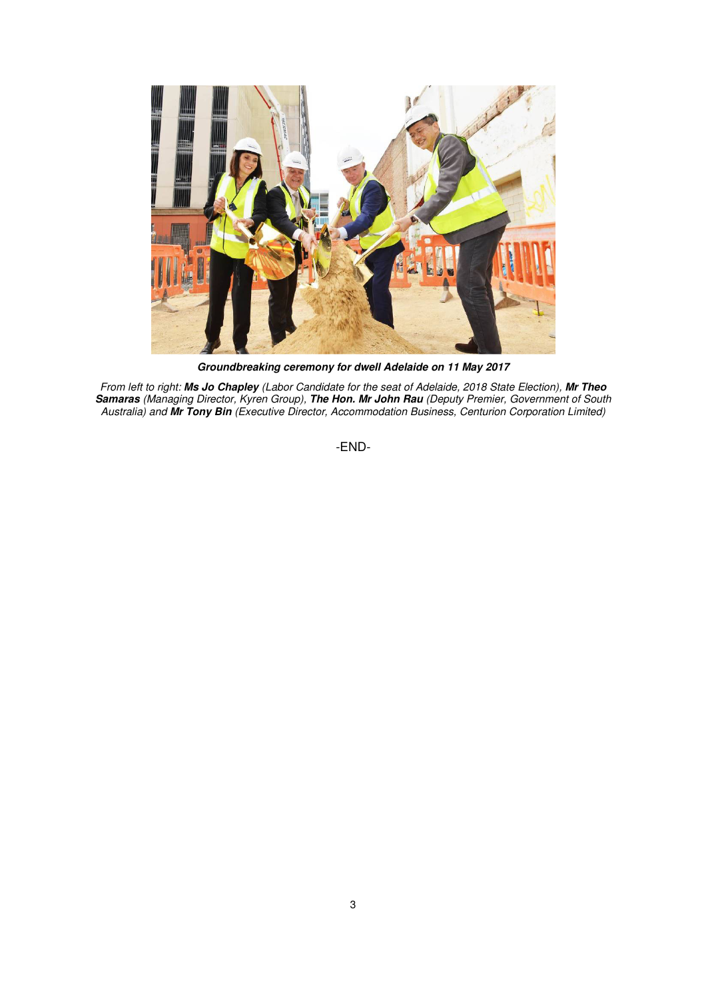

**Groundbreaking ceremony for dwell Adelaide on 11 May 2017** 

From left to right: **Ms Jo Chapley** (Labor Candidate for the seat of Adelaide, 2018 State Election), **Mr Theo Samaras** (Managing Director, Kyren Group), **The Hon. Mr John Rau** (Deputy Premier, Government of South Australia) and **Mr Tony Bin** (Executive Director, Accommodation Business, Centurion Corporation Limited)

-END-